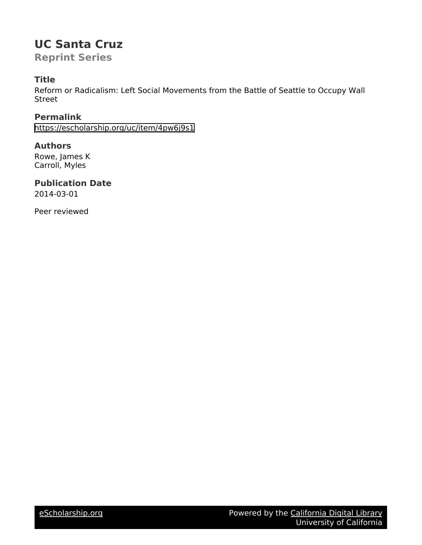# **UC Santa Cruz**

**Reprint Series**

# **Title**

Reform or Radicalism: Left Social Movements from the Battle of Seattle to Occupy Wall Street

**Permalink** <https://escholarship.org/uc/item/4pw6j9s1>

## **Authors**

Rowe, James K Carroll, Myles

# **Publication Date**

2014-03-01

Peer reviewed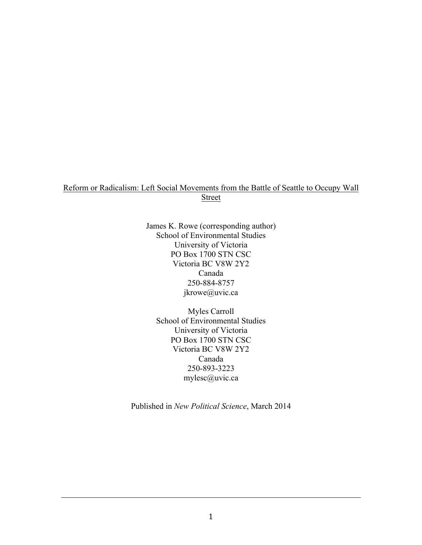## Reform or Radicalism: Left Social Movements from the Battle of Seattle to Occupy Wall Street

James K. Rowe (corresponding author) School of Environmental Studies University of Victoria PO Box 1700 STN CSC Victoria BC V8W 2Y2 Canada 250-884-8757 jkrowe@uvic.ca

Myles Carroll School of Environmental Studies University of Victoria PO Box 1700 STN CSC Victoria BC V8W 2Y2 Canada 250-893-3223 mylesc@uvic.ca

Published in *New Political Science*, March 2014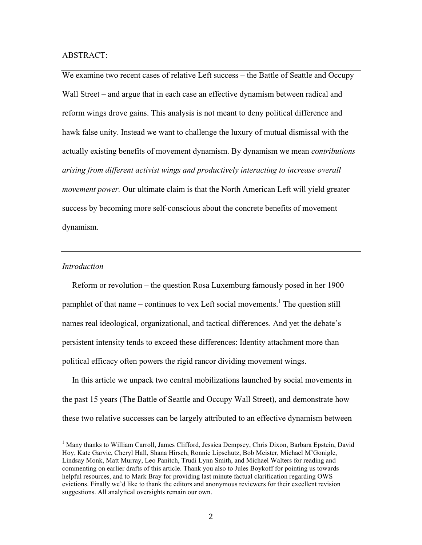#### ABSTRACT:

We examine two recent cases of relative Left success – the Battle of Seattle and Occupy Wall Street – and argue that in each case an effective dynamism between radical and reform wings drove gains. This analysis is not meant to deny political difference and hawk false unity. Instead we want to challenge the luxury of mutual dismissal with the actually existing benefits of movement dynamism. By dynamism we mean *contributions arising from different activist wings and productively interacting to increase overall movement power.* Our ultimate claim is that the North American Left will yield greater success by becoming more self-conscious about the concrete benefits of movement dynamism.

#### *Introduction*

Reform or revolution – the question Rosa Luxemburg famously posed in her 1900 pamphlet of that name – continues to vex Left social movements.<sup>1</sup> The question still names real ideological, organizational, and tactical differences. And yet the debate's persistent intensity tends to exceed these differences: Identity attachment more than political efficacy often powers the rigid rancor dividing movement wings.

In this article we unpack two central mobilizations launched by social movements in the past 15 years (The Battle of Seattle and Occupy Wall Street), and demonstrate how these two relative successes can be largely attributed to an effective dynamism between

<sup>&</sup>lt;sup>1</sup> Many thanks to William Carroll, James Clifford, Jessica Dempsey, Chris Dixon, Barbara Epstein, David Hoy, Kate Garvie, Cheryl Hall, Shana Hirsch, Ronnie Lipschutz, Bob Meister, Michael M'Gonigle, Lindsay Monk, Matt Murray, Leo Panitch, Trudi Lynn Smith, and Michael Walters for reading and commenting on earlier drafts of this article. Thank you also to Jules Boykoff for pointing us towards helpful resources, and to Mark Bray for providing last minute factual clarification regarding OWS evictions. Finally we'd like to thank the editors and anonymous reviewers for their excellent revision suggestions. All analytical oversights remain our own.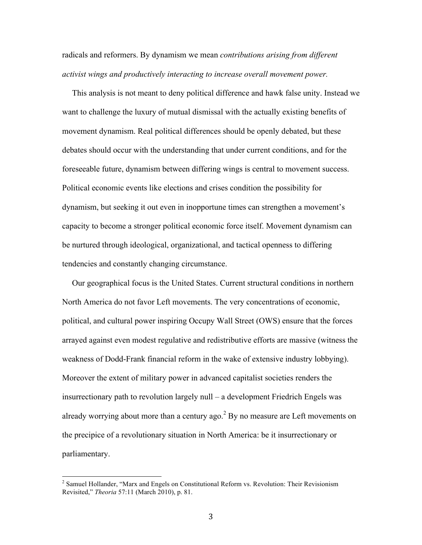radicals and reformers. By dynamism we mean *contributions arising from different activist wings and productively interacting to increase overall movement power.*

This analysis is not meant to deny political difference and hawk false unity. Instead we want to challenge the luxury of mutual dismissal with the actually existing benefits of movement dynamism. Real political differences should be openly debated, but these debates should occur with the understanding that under current conditions, and for the foreseeable future, dynamism between differing wings is central to movement success. Political economic events like elections and crises condition the possibility for dynamism, but seeking it out even in inopportune times can strengthen a movement's capacity to become a stronger political economic force itself. Movement dynamism can be nurtured through ideological, organizational, and tactical openness to differing tendencies and constantly changing circumstance.

Our geographical focus is the United States. Current structural conditions in northern North America do not favor Left movements. The very concentrations of economic, political, and cultural power inspiring Occupy Wall Street (OWS) ensure that the forces arrayed against even modest regulative and redistributive efforts are massive (witness the weakness of Dodd-Frank financial reform in the wake of extensive industry lobbying). Moreover the extent of military power in advanced capitalist societies renders the insurrectionary path to revolution largely null – a development Friedrich Engels was already worrying about more than a century ago. $<sup>2</sup>$  By no measure are Left movements on</sup> the precipice of a revolutionary situation in North America: be it insurrectionary or parliamentary.

<sup>&</sup>lt;sup>2</sup> Samuel Hollander, "Marx and Engels on Constitutional Reform vs. Revolution: Their Revisionism Revisited," *Theoria* 57:11 (March 2010), p. 81.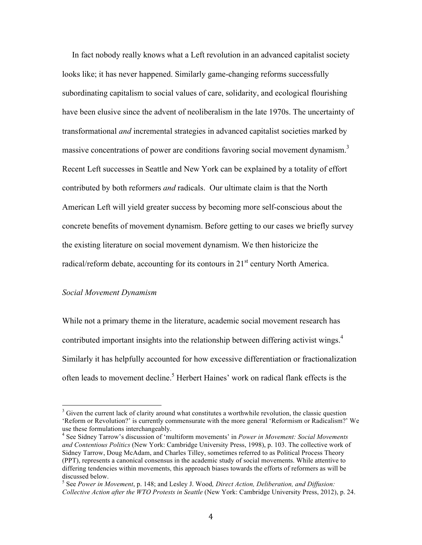In fact nobody really knows what a Left revolution in an advanced capitalist society looks like; it has never happened. Similarly game-changing reforms successfully subordinating capitalism to social values of care, solidarity, and ecological flourishing have been elusive since the advent of neoliberalism in the late 1970s. The uncertainty of transformational *and* incremental strategies in advanced capitalist societies marked by massive concentrations of power are conditions favoring social movement dynamism.<sup>3</sup> Recent Left successes in Seattle and New York can be explained by a totality of effort contributed by both reformers *and* radicals. Our ultimate claim is that the North American Left will yield greater success by becoming more self-conscious about the concrete benefits of movement dynamism. Before getting to our cases we briefly survey the existing literature on social movement dynamism. We then historicize the radical/reform debate, accounting for its contours in  $21<sup>st</sup>$  century North America.

#### *Social Movement Dynamism*

While not a primary theme in the literature, academic social movement research has contributed important insights into the relationship between differing activist wings. 4 Similarly it has helpfully accounted for how excessive differentiation or fractionalization often leads to movement decline.<sup>5</sup> Herbert Haines' work on radical flank effects is the

 $3$  Given the current lack of clarity around what constitutes a worthwhile revolution, the classic question 'Reform or Revolution?' is currently commensurate with the more general 'Reformism or Radicalism?' We use these formulations interchangeably. 4 See Sidney Tarrow's discussion of 'multiform movements' in *Power in Movement: Social Movements* 

*and Contentious Politics* (New York: Cambridge University Press, 1998), p. 103. The collective work of Sidney Tarrow, Doug McAdam, and Charles Tilley, sometimes referred to as Political Process Theory (PPT), represents a canonical consensus in the academic study of social movements. While attentive to differing tendencies within movements, this approach biases towards the efforts of reformers as will be discussed below.

<sup>5</sup> See *Power in Movement*, p. 148; and Lesley J. Wood*, Direct Action, Deliberation, and Diffusion: Collective Action after the WTO Protests in Seattle* (New York: Cambridge University Press, 2012), p. 24.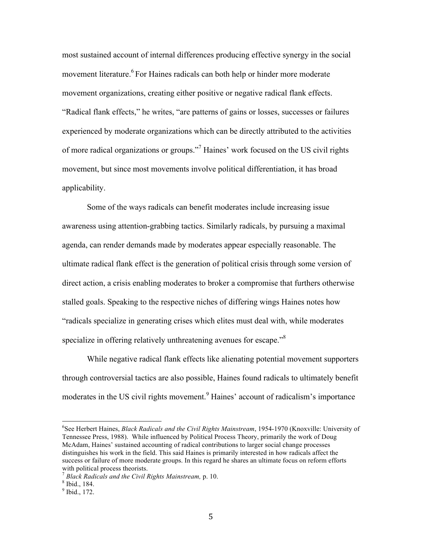most sustained account of internal differences producing effective synergy in the social movement literature. <sup>6</sup> For Haines radicals can both help or hinder more moderate movement organizations, creating either positive or negative radical flank effects. "Radical flank effects," he writes, "are patterns of gains or losses, successes or failures experienced by moderate organizations which can be directly attributed to the activities of more radical organizations or groups."<sup>7</sup> Haines' work focused on the US civil rights movement, but since most movements involve political differentiation, it has broad applicability.

Some of the ways radicals can benefit moderates include increasing issue awareness using attention-grabbing tactics. Similarly radicals, by pursuing a maximal agenda, can render demands made by moderates appear especially reasonable. The ultimate radical flank effect is the generation of political crisis through some version of direct action, a crisis enabling moderates to broker a compromise that furthers otherwise stalled goals. Speaking to the respective niches of differing wings Haines notes how "radicals specialize in generating crises which elites must deal with, while moderates specialize in offering relatively unthreatening avenues for escape."<sup>8</sup>

While negative radical flank effects like alienating potential movement supporters through controversial tactics are also possible, Haines found radicals to ultimately benefit moderates in the US civil rights movement.<sup>9</sup> Haines' account of radicalism's importance

 <sup>6</sup> See Herbert Haines, *Black Radicals and the Civil Rights Mainstream*, 1954-1970 (Knoxville: University of Tennessee Press, 1988). While influenced by Political Process Theory, primarily the work of Doug McAdam, Haines' sustained accounting of radical contributions to larger social change processes distinguishes his work in the field. This said Haines is primarily interested in how radicals affect the success or failure of more moderate groups. In this regard he shares an ultimate focus on reform efforts with political process theorists.

<sup>&</sup>lt;sup>7</sup> Black Radicals and the Civil Rights Mainstream, p. 10.<br><sup>8</sup> Ibid., 184.

<sup>9</sup> Ibid., 172.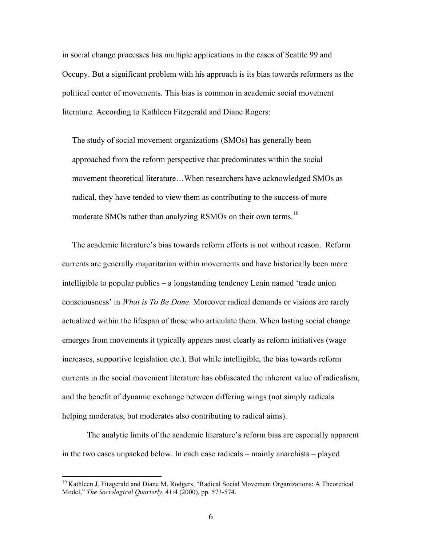in social change processes has multiple applications in the cases of Seattle 99 and Occupy. But a significant problem with his approach is its bias towards reformers as the political center of movements. This bias is common in academic social movement literature. According to Kathleen Fitzgerald and Diane Rogers:

The study of social movement organizations (SMOs) has generally been approached from the reform perspective that predominates within the social movement theoretical literature…When researchers have acknowledged SMOs as radical, they have tended to view them as contributing to the success of more moderate SMOs rather than analyzing RSMOs on their own terms.<sup>10</sup>

The academic literature's bias towards reform efforts is not without reason. Reform currents are generally majoritarian within movements and have historically been more intelligible to popular publics – a longstanding tendency Lenin named 'trade union consciousness' in *What is To Be Done*. Moreover radical demands or visions are rarely actualized within the lifespan of those who articulate them. When lasting social change emerges from movements it typically appears most clearly as reform initiatives (wage increases, supportive legislation etc.). But while intelligible, the bias towards reform currents in the social movement literature has obfuscated the inherent value of radicalism, and the benefit of dynamic exchange between differing wings (not simply radicals helping moderates, but moderates also contributing to radical aims).

The analytic limits of the academic literature's reform bias are especially apparent in the two cases unpacked below. In each case radicals – mainly anarchists – played

<sup>&</sup>lt;sup>10</sup> Kathleen J. Fitzgerald and Diane M. Rodgers, "Radical Social Movement Organizations: A Theoretical Model," *The Sociological Quarterly*, 41:4 (2000), pp. 573-574.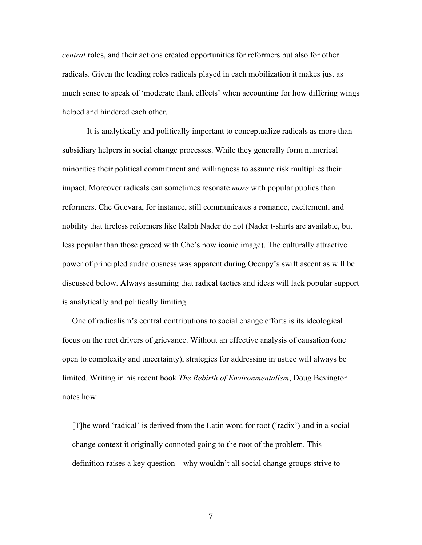*central* roles, and their actions created opportunities for reformers but also for other radicals. Given the leading roles radicals played in each mobilization it makes just as much sense to speak of 'moderate flank effects' when accounting for how differing wings helped and hindered each other.

It is analytically and politically important to conceptualize radicals as more than subsidiary helpers in social change processes. While they generally form numerical minorities their political commitment and willingness to assume risk multiplies their impact. Moreover radicals can sometimes resonate *more* with popular publics than reformers. Che Guevara, for instance, still communicates a romance, excitement, and nobility that tireless reformers like Ralph Nader do not (Nader t-shirts are available, but less popular than those graced with Che's now iconic image). The culturally attractive power of principled audaciousness was apparent during Occupy's swift ascent as will be discussed below. Always assuming that radical tactics and ideas will lack popular support is analytically and politically limiting.

One of radicalism's central contributions to social change efforts is its ideological focus on the root drivers of grievance. Without an effective analysis of causation (one open to complexity and uncertainty), strategies for addressing injustice will always be limited. Writing in his recent book *The Rebirth of Environmentalism*, Doug Bevington notes how:

[T]he word 'radical' is derived from the Latin word for root ('radix') and in a social change context it originally connoted going to the root of the problem. This definition raises a key question – why wouldn't all social change groups strive to

7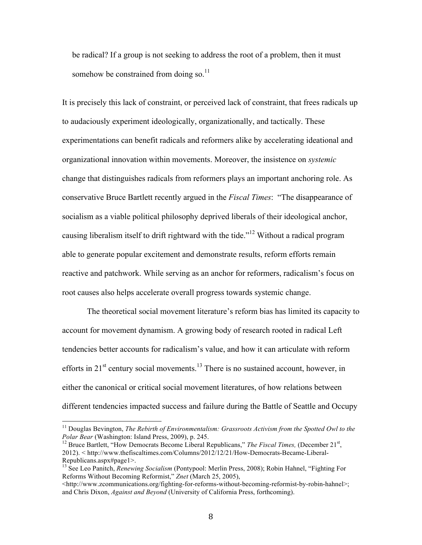be radical? If a group is not seeking to address the root of a problem, then it must somehow be constrained from doing so. $^{11}$ 

It is precisely this lack of constraint, or perceived lack of constraint, that frees radicals up to audaciously experiment ideologically, organizationally, and tactically. These experimentations can benefit radicals and reformers alike by accelerating ideational and organizational innovation within movements. Moreover, the insistence on *systemic*  change that distinguishes radicals from reformers plays an important anchoring role. As conservative Bruce Bartlett recently argued in the *Fiscal Times*: "The disappearance of socialism as a viable political philosophy deprived liberals of their ideological anchor, causing liberalism itself to drift rightward with the tide."<sup>12</sup> Without a radical program able to generate popular excitement and demonstrate results, reform efforts remain reactive and patchwork. While serving as an anchor for reformers, radicalism's focus on root causes also helps accelerate overall progress towards systemic change.

The theoretical social movement literature's reform bias has limited its capacity to account for movement dynamism. A growing body of research rooted in radical Left tendencies better accounts for radicalism's value, and how it can articulate with reform efforts in  $21<sup>st</sup>$  century social movements.<sup>13</sup> There is no sustained account, however, in either the canonical or critical social movement literatures, of how relations between different tendencies impacted success and failure during the Battle of Seattle and Occupy

<sup>&</sup>lt;sup>11</sup> Douglas Bevington, *The Rebirth of Environmentalism: Grassroots Activism from the Spotted Owl to the* 

*Polar Bear* (Washington: Island Press, 2009), p. 245.<br><sup>12</sup> Bruce Bartlett, "How Democrats Become Liberal Republicans," *The Fiscal Times*, (December 21<sup>st</sup>, 2012). < http://www.thefiscaltimes.com/Columns/2012/12/21/How-Democrats-Became-Liberal-Republicans.aspx#page1>.<br><sup>13</sup> See Leo Panitch, *Renewing Socialism* (Pontypool: Merlin Press, 2008); Robin Hahnel, "Fighting For

Reforms Without Becoming Reformist," *Znet* (March 25, 2005),

 $\langle$ http://www.zcommunications.org/fighting-for-reforms-without-becoming-reformist-by-robin-hahnel>; and Chris Dixon, *Against and Beyond* (University of California Press, forthcoming).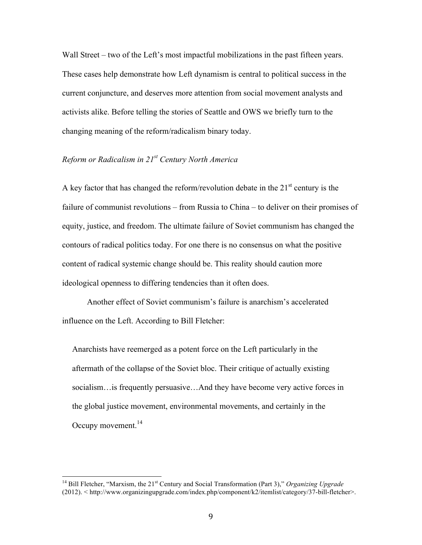Wall Street – two of the Left's most impactful mobilizations in the past fifteen years. These cases help demonstrate how Left dynamism is central to political success in the current conjuncture, and deserves more attention from social movement analysts and activists alike. Before telling the stories of Seattle and OWS we briefly turn to the changing meaning of the reform/radicalism binary today.

## *Reform or Radicalism in 21st Century North America*

A key factor that has changed the reform/revolution debate in the  $21<sup>st</sup>$  century is the failure of communist revolutions – from Russia to China – to deliver on their promises of equity, justice, and freedom. The ultimate failure of Soviet communism has changed the contours of radical politics today. For one there is no consensus on what the positive content of radical systemic change should be. This reality should caution more ideological openness to differing tendencies than it often does.

Another effect of Soviet communism's failure is anarchism's accelerated influence on the Left. According to Bill Fletcher:

Anarchists have reemerged as a potent force on the Left particularly in the aftermath of the collapse of the Soviet bloc. Their critique of actually existing socialism…is frequently persuasive…And they have become very active forces in the global justice movement, environmental movements, and certainly in the Occupy movement.<sup>14</sup>

<sup>&</sup>lt;sup>14</sup> Bill Fletcher, "Marxism, the 21<sup>st</sup> Century and Social Transformation (Part 3)," *Organizing Upgrade* (2012). < http://www.organizingupgrade.com/index.php/component/k2/itemlist/category/37-bill-fletcher>.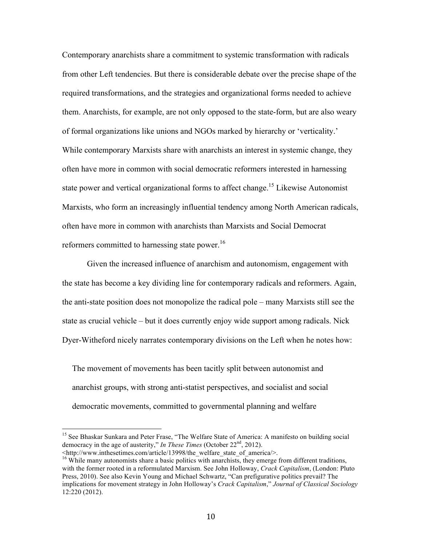Contemporary anarchists share a commitment to systemic transformation with radicals from other Left tendencies. But there is considerable debate over the precise shape of the required transformations, and the strategies and organizational forms needed to achieve them. Anarchists, for example, are not only opposed to the state-form, but are also weary of formal organizations like unions and NGOs marked by hierarchy or 'verticality.' While contemporary Marxists share with anarchists an interest in systemic change, they often have more in common with social democratic reformers interested in harnessing state power and vertical organizational forms to affect change.<sup>15</sup> Likewise Autonomist Marxists, who form an increasingly influential tendency among North American radicals, often have more in common with anarchists than Marxists and Social Democrat reformers committed to harnessing state power.<sup>16</sup>

Given the increased influence of anarchism and autonomism, engagement with the state has become a key dividing line for contemporary radicals and reformers. Again, the anti-state position does not monopolize the radical pole – many Marxists still see the state as crucial vehicle – but it does currently enjoy wide support among radicals. Nick Dyer-Witheford nicely narrates contemporary divisions on the Left when he notes how:

The movement of movements has been tacitly split between autonomist and anarchist groups, with strong anti-statist perspectives, and socialist and social democratic movements, committed to governmental planning and welfare

<sup>&</sup>lt;sup>15</sup> See Bhaskar Sunkara and Peter Frase, "The Welfare State of America: A manifesto on building social democracy in the age of austerity," *In These Times* (October 22nd, 2012).

<sup>&</sup>lt;http://www.inthesetimes.com/article/13998/the\_welfare\_state\_of\_america/>. <sup>16</sup> While many autonomists share a basic politics with anarchists, they emerge from different traditions, with the former rooted in a reformulated Marxism. See John Holloway, *Crack Capitalism*, (London: Pluto Press, 2010). See also Kevin Young and Michael Schwartz, "Can prefigurative politics prevail? The implications for movement strategy in John Holloway's *Crack Capitalism*," *Journal of Classical Sociology* 12:220 (2012).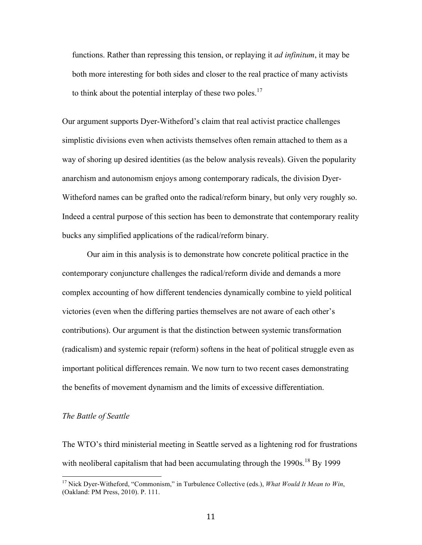functions. Rather than repressing this tension, or replaying it *ad infinitum*, it may be both more interesting for both sides and closer to the real practice of many activists to think about the potential interplay of these two poles. $17$ 

Our argument supports Dyer-Witheford's claim that real activist practice challenges simplistic divisions even when activists themselves often remain attached to them as a way of shoring up desired identities (as the below analysis reveals). Given the popularity anarchism and autonomism enjoys among contemporary radicals, the division Dyer-Witheford names can be grafted onto the radical/reform binary, but only very roughly so. Indeed a central purpose of this section has been to demonstrate that contemporary reality bucks any simplified applications of the radical/reform binary.

Our aim in this analysis is to demonstrate how concrete political practice in the contemporary conjuncture challenges the radical/reform divide and demands a more complex accounting of how different tendencies dynamically combine to yield political victories (even when the differing parties themselves are not aware of each other's contributions). Our argument is that the distinction between systemic transformation (radicalism) and systemic repair (reform) softens in the heat of political struggle even as important political differences remain. We now turn to two recent cases demonstrating the benefits of movement dynamism and the limits of excessive differentiation.

#### *The Battle of Seattle*

The WTO's third ministerial meeting in Seattle served as a lightening rod for frustrations with neoliberal capitalism that had been accumulating through the  $1990s$ .<sup>18</sup> By 1999

 <sup>17</sup> Nick Dyer-Witheford, "Commonism," in Turbulence Collective (eds.), *What Would It Mean to Win*, (Oakland: PM Press, 2010). P. 111.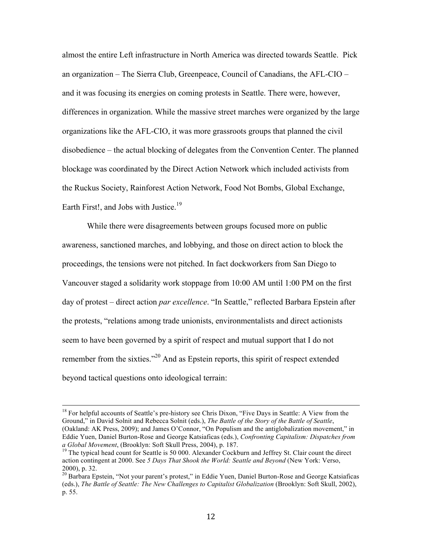almost the entire Left infrastructure in North America was directed towards Seattle. Pick an organization – The Sierra Club, Greenpeace, Council of Canadians, the AFL-CIO – and it was focusing its energies on coming protests in Seattle. There were, however, differences in organization. While the massive street marches were organized by the large organizations like the AFL-CIO, it was more grassroots groups that planned the civil disobedience – the actual blocking of delegates from the Convention Center. The planned blockage was coordinated by the Direct Action Network which included activists from the Ruckus Society, Rainforest Action Network, Food Not Bombs, Global Exchange, Earth First!, and Jobs with Justice.<sup>19</sup>

While there were disagreements between groups focused more on public awareness, sanctioned marches, and lobbying, and those on direct action to block the proceedings, the tensions were not pitched. In fact dockworkers from San Diego to Vancouver staged a solidarity work stoppage from 10:00 AM until 1:00 PM on the first day of protest – direct action *par excellence*. "In Seattle," reflected Barbara Epstein after the protests, "relations among trade unionists, environmentalists and direct actionists seem to have been governed by a spirit of respect and mutual support that I do not remember from the sixties."<sup>20</sup> And as Epstein reports, this spirit of respect extended beyond tactical questions onto ideological terrain:

<sup>&</sup>lt;sup>18</sup> For helpful accounts of Seattle's pre-history see Chris Dixon, "Five Days in Seattle: A View from the Ground," in David Solnit and Rebecca Solnit (eds.), *The Battle of the Story of the Battle of Seattle*, (Oakland: AK Press, 2009); and James O'Connor, "On Populism and the antiglobalization movement," in Eddie Yuen, Daniel Burton-Rose and George Katsiaficas (eds.), *Confronting Capitalism: Dispatches from a Global Movement*, (Brooklyn: Soft Skull Press, 2004), p. 187.<br><sup>19</sup> The typical head count for Seattle is 50 000. Alexander Cockburn and Jeffrey St. Clair count the direct

action contingent at 2000. See *5 Days That Shook the World: Seattle and Beyond* (New York: Verso, 2000), p. 32.

<sup>20</sup> Barbara Epstein, "Not your parent's protest," in Eddie Yuen, Daniel Burton-Rose and George Katsiaficas (eds.), *The Battle of Seattle: The New Challenges to Capitalist Globalization* (Brooklyn: Soft Skull, 2002), p. 55.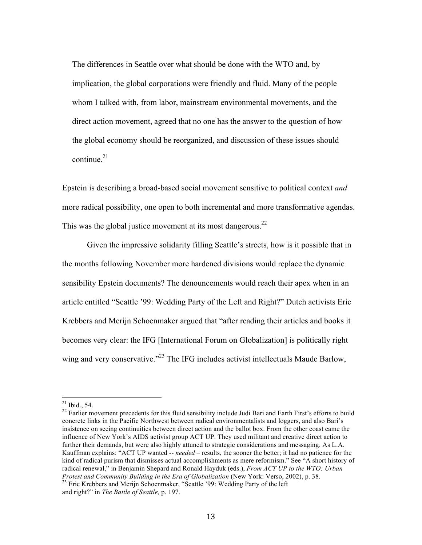The differences in Seattle over what should be done with the WTO and, by implication, the global corporations were friendly and fluid. Many of the people whom I talked with, from labor, mainstream environmental movements, and the direct action movement, agreed that no one has the answer to the question of how the global economy should be reorganized, and discussion of these issues should continue. $21$ 

Epstein is describing a broad-based social movement sensitive to political context *and* more radical possibility, one open to both incremental and more transformative agendas. This was the global justice movement at its most dangerous.<sup>22</sup>

Given the impressive solidarity filling Seattle's streets, how is it possible that in the months following November more hardened divisions would replace the dynamic sensibility Epstein documents? The denouncements would reach their apex when in an article entitled "Seattle '99: Wedding Party of the Left and Right?" Dutch activists Eric Krebbers and Merijn Schoenmaker argued that "after reading their articles and books it becomes very clear: the IFG [International Forum on Globalization] is politically right wing and very conservative."<sup>23</sup> The IFG includes activist intellectuals Maude Barlow,

<sup>&</sup>lt;sup>21</sup> Ibid., 54. **22** Earlier movement precedents for this fluid sensibility include Judi Bari and Earth First's efforts to build concrete links in the Pacific Northwest between radical environmentalists and loggers, and also Bari's insistence on seeing continuities between direct action and the ballot box. From the other coast came the influence of New York's AIDS activist group ACT UP. They used militant and creative direct action to further their demands, but were also highly attuned to strategic considerations and messaging. As L.A. Kauffman explains: "ACT UP wanted -- *needed* – results, the sooner the better; it had no patience for the kind of radical purism that dismisses actual accomplishments as mere reformism." See "A short history of radical renewal," in Benjamin Shepard and Ronald Hayduk (eds.), *From ACT UP to the WTO: Urban Protest and Community Building in the Era of Globalization* (New York: Verso, 2002), p. 38.<br><sup>23</sup> Eric Krebbers and Merijn Schoenmaker, "Seattle '99: Wedding Party of the left

and right?" in *The Battle of Seattle,* p. 197.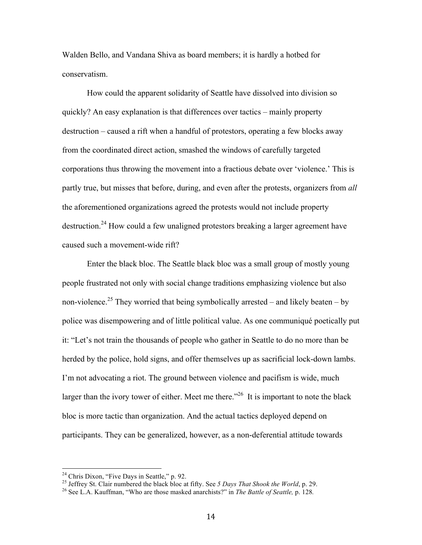Walden Bello, and Vandana Shiva as board members; it is hardly a hotbed for conservatism.

How could the apparent solidarity of Seattle have dissolved into division so quickly? An easy explanation is that differences over tactics – mainly property destruction – caused a rift when a handful of protestors, operating a few blocks away from the coordinated direct action, smashed the windows of carefully targeted corporations thus throwing the movement into a fractious debate over 'violence.' This is partly true, but misses that before, during, and even after the protests, organizers from *all*  the aforementioned organizations agreed the protests would not include property destruction.<sup>24</sup> How could a few unaligned protestors breaking a larger agreement have caused such a movement-wide rift?

Enter the black bloc. The Seattle black bloc was a small group of mostly young people frustrated not only with social change traditions emphasizing violence but also non-violence.<sup>25</sup> They worried that being symbolically arrested – and likely beaten – by police was disempowering and of little political value. As one communiqué poetically put it: "Let's not train the thousands of people who gather in Seattle to do no more than be herded by the police, hold signs, and offer themselves up as sacrificial lock-down lambs. I'm not advocating a riot. The ground between violence and pacifism is wide, much larger than the ivory tower of either. Meet me there.<sup> $26$ </sup> It is important to note the black bloc is more tactic than organization. And the actual tactics deployed depend on participants. They can be generalized, however, as a non-deferential attitude towards

<sup>&</sup>lt;sup>24</sup> Chris Dixon, "Five Days in Seattle," p. 92.<br><sup>25</sup> Jeffrey St. Clair numbered the black bloc at fifty. See 5 Days That Shook the World, p. 29.<br><sup>26</sup> See L.A. Kauffman, "Who are those masked anarchists?" in The Battle of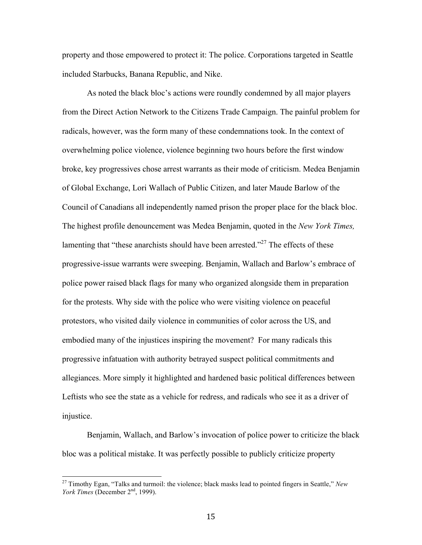property and those empowered to protect it: The police. Corporations targeted in Seattle included Starbucks, Banana Republic, and Nike.

As noted the black bloc's actions were roundly condemned by all major players from the Direct Action Network to the Citizens Trade Campaign. The painful problem for radicals, however, was the form many of these condemnations took. In the context of overwhelming police violence, violence beginning two hours before the first window broke, key progressives chose arrest warrants as their mode of criticism. Medea Benjamin of Global Exchange, Lori Wallach of Public Citizen, and later Maude Barlow of the Council of Canadians all independently named prison the proper place for the black bloc. The highest profile denouncement was Medea Benjamin, quoted in the *New York Times,* lamenting that "these anarchists should have been arrested."<sup>27</sup> The effects of these progressive-issue warrants were sweeping. Benjamin, Wallach and Barlow's embrace of police power raised black flags for many who organized alongside them in preparation for the protests. Why side with the police who were visiting violence on peaceful protestors, who visited daily violence in communities of color across the US, and embodied many of the injustices inspiring the movement? For many radicals this progressive infatuation with authority betrayed suspect political commitments and allegiances. More simply it highlighted and hardened basic political differences between Leftists who see the state as a vehicle for redress, and radicals who see it as a driver of injustice.

Benjamin, Wallach, and Barlow's invocation of police power to criticize the black bloc was a political mistake. It was perfectly possible to publicly criticize property

 <sup>27</sup> Timothy Egan, "Talks and turmoil: the violence; black masks lead to pointed fingers in Seattle," *New York Times* (December 2<sup>nd</sup>, 1999).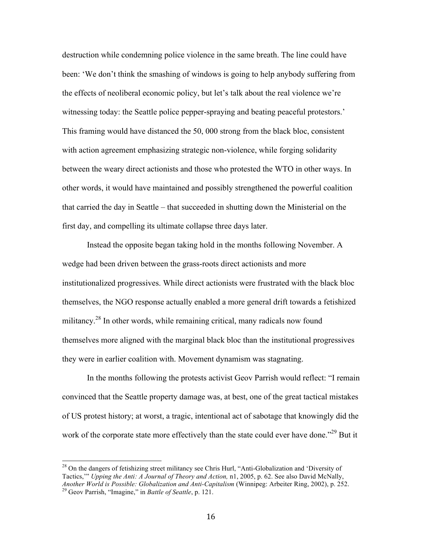destruction while condemning police violence in the same breath. The line could have been: 'We don't think the smashing of windows is going to help anybody suffering from the effects of neoliberal economic policy, but let's talk about the real violence we're witnessing today: the Seattle police pepper-spraying and beating peaceful protestors.' This framing would have distanced the 50, 000 strong from the black bloc, consistent with action agreement emphasizing strategic non-violence, while forging solidarity between the weary direct actionists and those who protested the WTO in other ways. In other words, it would have maintained and possibly strengthened the powerful coalition that carried the day in Seattle – that succeeded in shutting down the Ministerial on the first day, and compelling its ultimate collapse three days later.

Instead the opposite began taking hold in the months following November. A wedge had been driven between the grass-roots direct actionists and more institutionalized progressives. While direct actionists were frustrated with the black bloc themselves, the NGO response actually enabled a more general drift towards a fetishized militancy.<sup>28</sup> In other words, while remaining critical, many radicals now found themselves more aligned with the marginal black bloc than the institutional progressives they were in earlier coalition with. Movement dynamism was stagnating.

In the months following the protests activist Geov Parrish would reflect: "I remain convinced that the Seattle property damage was, at best, one of the great tactical mistakes of US protest history; at worst, a tragic, intentional act of sabotage that knowingly did the work of the corporate state more effectively than the state could ever have done."<sup>29</sup> But it

<sup>&</sup>lt;sup>28</sup> On the dangers of fetishizing street militancy see Chris Hurl, "Anti-Globalization and 'Diversity of Tactics,'" *Upping the Anti: A Journal of Theory and Action,* n1, 2005, p. 62. See also David McNally, *Another World is Possible: Globalization and Anti-Capitalism* (Winnipeg: Arbeiter Ring, 2002), p. 252. <sup>29</sup> Geov Parrish, "Imagine," in *Battle of Seattle*, p. 121.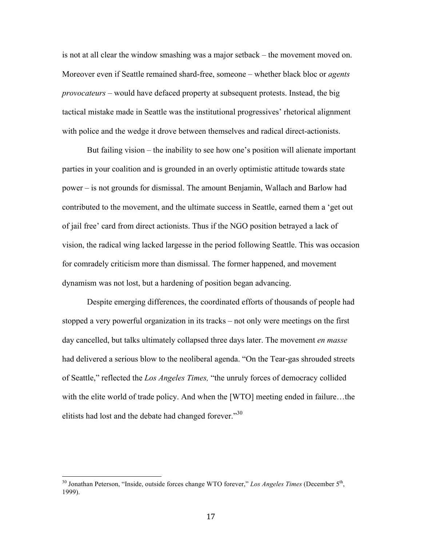is not at all clear the window smashing was a major setback – the movement moved on. Moreover even if Seattle remained shard-free, someone – whether black bloc or *agents provocateurs* – would have defaced property at subsequent protests. Instead, the big tactical mistake made in Seattle was the institutional progressives' rhetorical alignment with police and the wedge it drove between themselves and radical direct-actionists.

But failing vision – the inability to see how one's position will alienate important parties in your coalition and is grounded in an overly optimistic attitude towards state power – is not grounds for dismissal. The amount Benjamin, Wallach and Barlow had contributed to the movement, and the ultimate success in Seattle, earned them a 'get out of jail free' card from direct actionists. Thus if the NGO position betrayed a lack of vision, the radical wing lacked largesse in the period following Seattle. This was occasion for comradely criticism more than dismissal. The former happened, and movement dynamism was not lost, but a hardening of position began advancing.

Despite emerging differences, the coordinated efforts of thousands of people had stopped a very powerful organization in its tracks – not only were meetings on the first day cancelled, but talks ultimately collapsed three days later. The movement *en masse* had delivered a serious blow to the neoliberal agenda. "On the Tear-gas shrouded streets of Seattle," reflected the *Los Angeles Times,* "the unruly forces of democracy collided with the elite world of trade policy. And when the [WTO] meeting ended in failure…the elitists had lost and the debate had changed forever."<sup>30</sup>

<sup>&</sup>lt;sup>30</sup> Jonathan Peterson, "Inside, outside forces change WTO forever," Los Angeles Times (December 5<sup>th</sup>, 1999).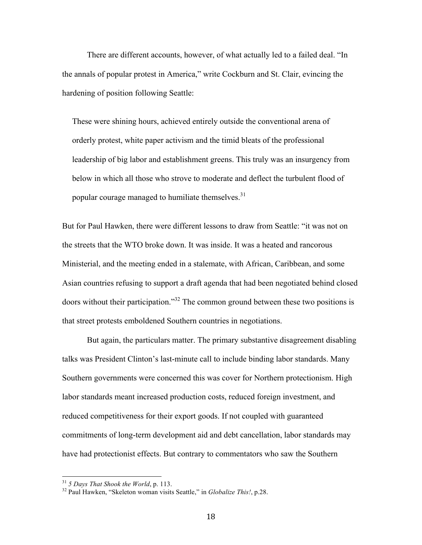There are different accounts, however, of what actually led to a failed deal. "In the annals of popular protest in America," write Cockburn and St. Clair, evincing the hardening of position following Seattle:

These were shining hours, achieved entirely outside the conventional arena of orderly protest, white paper activism and the timid bleats of the professional leadership of big labor and establishment greens. This truly was an insurgency from below in which all those who strove to moderate and deflect the turbulent flood of popular courage managed to humiliate themselves.<sup>31</sup>

But for Paul Hawken, there were different lessons to draw from Seattle: "it was not on the streets that the WTO broke down. It was inside. It was a heated and rancorous Ministerial, and the meeting ended in a stalemate, with African, Caribbean, and some Asian countries refusing to support a draft agenda that had been negotiated behind closed doors without their participation."32 The common ground between these two positions is that street protests emboldened Southern countries in negotiations.

But again, the particulars matter. The primary substantive disagreement disabling talks was President Clinton's last-minute call to include binding labor standards. Many Southern governments were concerned this was cover for Northern protectionism. High labor standards meant increased production costs, reduced foreign investment, and reduced competitiveness for their export goods. If not coupled with guaranteed commitments of long-term development aid and debt cancellation, labor standards may have had protectionist effects. But contrary to commentators who saw the Southern

<sup>&</sup>lt;sup>31</sup> *5 Days That Shook the World*, p. 113.<br><sup>32</sup> Paul Hawken, "Skeleton woman visits Seattle," in *Globalize This!*, p.28.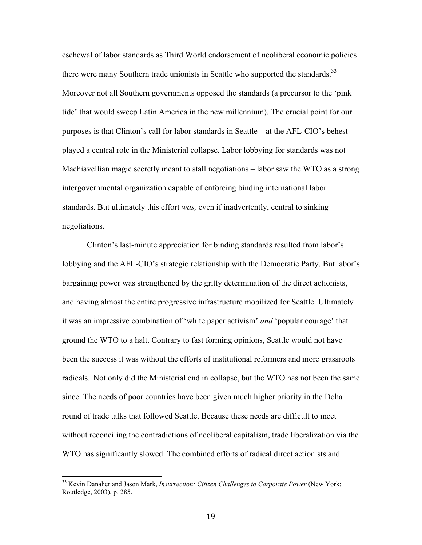eschewal of labor standards as Third World endorsement of neoliberal economic policies there were many Southern trade unionists in Seattle who supported the standards.<sup>33</sup> Moreover not all Southern governments opposed the standards (a precursor to the 'pink tide' that would sweep Latin America in the new millennium). The crucial point for our purposes is that Clinton's call for labor standards in Seattle – at the AFL-CIO's behest – played a central role in the Ministerial collapse. Labor lobbying for standards was not Machiavellian magic secretly meant to stall negotiations – labor saw the WTO as a strong intergovernmental organization capable of enforcing binding international labor standards. But ultimately this effort *was,* even if inadvertently, central to sinking negotiations.

Clinton's last-minute appreciation for binding standards resulted from labor's lobbying and the AFL-CIO's strategic relationship with the Democratic Party. But labor's bargaining power was strengthened by the gritty determination of the direct actionists, and having almost the entire progressive infrastructure mobilized for Seattle. Ultimately it was an impressive combination of 'white paper activism' *and* 'popular courage' that ground the WTO to a halt. Contrary to fast forming opinions, Seattle would not have been the success it was without the efforts of institutional reformers and more grassroots radicals. Not only did the Ministerial end in collapse, but the WTO has not been the same since. The needs of poor countries have been given much higher priority in the Doha round of trade talks that followed Seattle. Because these needs are difficult to meet without reconciling the contradictions of neoliberal capitalism, trade liberalization via the WTO has significantly slowed. The combined efforts of radical direct actionists and

 <sup>33</sup> Kevin Danaher and Jason Mark, *Insurrection: Citizen Challenges to Corporate Power* (New York: Routledge, 2003), p. 285.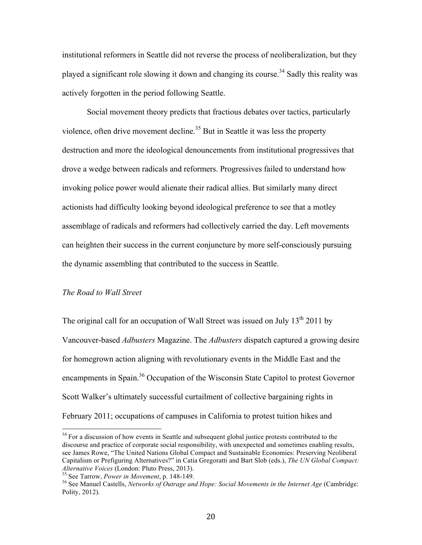institutional reformers in Seattle did not reverse the process of neoliberalization, but they played a significant role slowing it down and changing its course.<sup>34</sup> Sadly this reality was actively forgotten in the period following Seattle.

Social movement theory predicts that fractious debates over tactics, particularly violence, often drive movement decline.<sup>35</sup> But in Seattle it was less the property destruction and more the ideological denouncements from institutional progressives that drove a wedge between radicals and reformers. Progressives failed to understand how invoking police power would alienate their radical allies. But similarly many direct actionists had difficulty looking beyond ideological preference to see that a motley assemblage of radicals and reformers had collectively carried the day. Left movements can heighten their success in the current conjuncture by more self-consciously pursuing the dynamic assembling that contributed to the success in Seattle.

#### *The Road to Wall Street*

The original call for an occupation of Wall Street was issued on July  $13<sup>th</sup> 2011$  by Vancouver-based *Adbusters* Magazine. The *Adbusters* dispatch captured a growing desire for homegrown action aligning with revolutionary events in the Middle East and the encampments in Spain.36 Occupation of the Wisconsin State Capitol to protest Governor Scott Walker's ultimately successful curtailment of collective bargaining rights in February 2011; occupations of campuses in California to protest tuition hikes and

 $34$  For a discussion of how events in Seattle and subsequent global justice protests contributed to the discourse and practice of corporate social responsibility, with unexpected and sometimes enabling results, see James Rowe, "The United Nations Global Compact and Sustainable Economies: Preserving Neoliberal Capitalism or Prefiguring Alternatives?" in Catia Gregoratti and Bart Slob (eds.), *The UN Global Compact: Alternative Voices (London: Pluto Press, 2013).*<br><sup>35</sup> See Tarrow, *Power in Movement*, p. 148-149.<br><sup>36</sup> See Manuel Castells, *Networks of Outrage and Hope: Social Movements in the Internet Age (Cambridge:* 

Polity, 2012).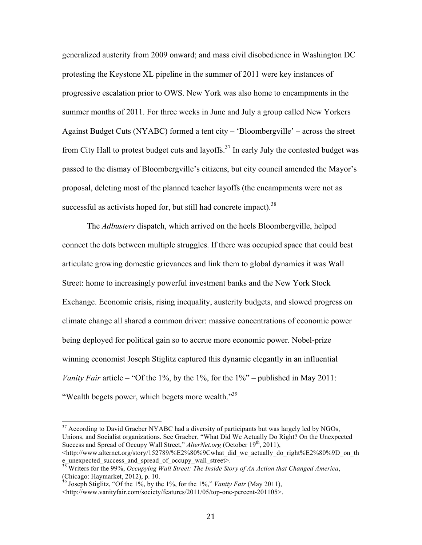generalized austerity from 2009 onward; and mass civil disobedience in Washington DC protesting the Keystone XL pipeline in the summer of 2011 were key instances of progressive escalation prior to OWS. New York was also home to encampments in the summer months of 2011. For three weeks in June and July a group called New Yorkers Against Budget Cuts (NYABC) formed a tent city – 'Bloombergville' – across the street from City Hall to protest budget cuts and layoffs.<sup>37</sup> In early July the contested budget was passed to the dismay of Bloombergville's citizens, but city council amended the Mayor's proposal, deleting most of the planned teacher layoffs (the encampments were not as successful as activists hoped for, but still had concrete impact).<sup>38</sup>

The *Adbusters* dispatch, which arrived on the heels Bloombergville, helped connect the dots between multiple struggles. If there was occupied space that could best articulate growing domestic grievances and link them to global dynamics it was Wall Street: home to increasingly powerful investment banks and the New York Stock Exchange. Economic crisis, rising inequality, austerity budgets, and slowed progress on climate change all shared a common driver: massive concentrations of economic power being deployed for political gain so to accrue more economic power. Nobel-prize winning economist Joseph Stiglitz captured this dynamic elegantly in an influential *Vanity Fair* article – "Of the 1%, by the 1%, for the 1%" – published in May 2011: "Wealth begets power, which begets more wealth."<sup>39</sup>

 $37$  According to David Graeber NYABC had a diversity of participants but was largely led by NGOs, Unions, and Socialist organizations. See Graeber, "What Did We Actually Do Right? On the Unexpected Success and Spread of Occupy Wall Street," *AlterNet.org* (October 19<sup>th</sup>, 2011),

 $\text{http://www.alternet.org/story/152789%E2%80%9C}$  what did we actually do right%E2%80%9D on th e\_unexpected\_success\_and\_spread\_of\_occupy\_wall\_street>. <br><sup>38</sup> Writers for the 99%, *Occupying Wall Street: The Inside Story of An Action that Changed America*,

<sup>(</sup>Chicago: Haymarket, 2012), p. 10.

<sup>39</sup> Joseph Stiglitz, "Of the 1%, by the 1%, for the 1%," *Vanity Fair* (May 2011),

<sup>&</sup>lt;http://www.vanityfair.com/society/features/2011/05/top-one-percent-201105>.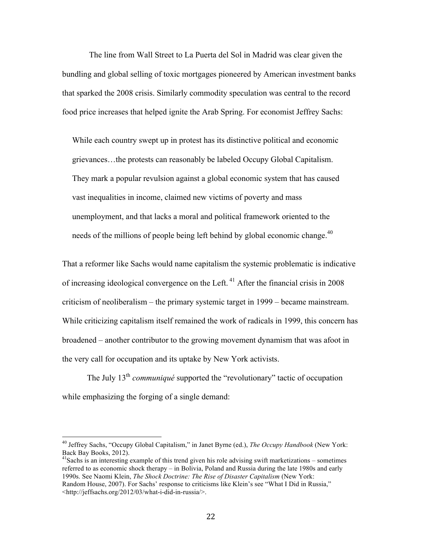The line from Wall Street to La Puerta del Sol in Madrid was clear given the bundling and global selling of toxic mortgages pioneered by American investment banks that sparked the 2008 crisis. Similarly commodity speculation was central to the record food price increases that helped ignite the Arab Spring. For economist Jeffrey Sachs:

While each country swept up in protest has its distinctive political and economic grievances…the protests can reasonably be labeled Occupy Global Capitalism. They mark a popular revulsion against a global economic system that has caused vast inequalities in income, claimed new victims of poverty and mass unemployment, and that lacks a moral and political framework oriented to the needs of the millions of people being left behind by global economic change.<sup>40</sup>

That a reformer like Sachs would name capitalism the systemic problematic is indicative of increasing ideological convergence on the Left. <sup>41</sup> After the financial crisis in 2008 criticism of neoliberalism – the primary systemic target in 1999 – became mainstream. While criticizing capitalism itself remained the work of radicals in 1999, this concern has broadened – another contributor to the growing movement dynamism that was afoot in the very call for occupation and its uptake by New York activists.

The July 13<sup>th</sup> *communiqué* supported the "revolutionary" tactic of occupation while emphasizing the forging of a single demand:

41Sachs is an interesting example of this trend given his role advising swift marketizations – sometimes referred to as economic shock therapy – in Bolivia, Poland and Russia during the late 1980s and early 1990s. See Naomi Klein, *The Shock Doctrine: The Rise of Disaster Capitalism* (New York: Random House, 2007). For Sachs' response to criticisms like Klein's see "What I Did in Russia," <http://jeffsachs.org/2012/03/what-i-did-in-russia/>.

 <sup>40</sup> Jeffrey Sachs, "Occupy Global Capitalism," in Janet Byrne (ed.), *The Occupy Handbook* (New York: Back Bay Books, 2012).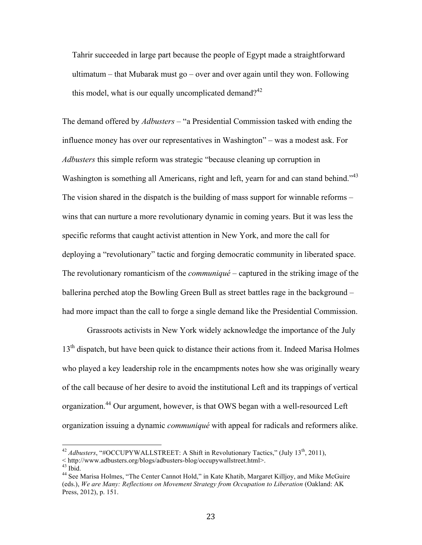Tahrir succeeded in large part because the people of Egypt made a straightforward ultimatum – that Mubarak must go – over and over again until they won. Following this model, what is our equally uncomplicated demand?<sup>42</sup>

The demand offered by *Adbusters* – "a Presidential Commission tasked with ending the influence money has over our representatives in Washington" – was a modest ask. For *Adbusters* this simple reform was strategic "because cleaning up corruption in Washington is something all Americans, right and left, yearn for and can stand behind."<sup>43</sup> The vision shared in the dispatch is the building of mass support for winnable reforms – wins that can nurture a more revolutionary dynamic in coming years. But it was less the specific reforms that caught activist attention in New York, and more the call for deploying a "revolutionary" tactic and forging democratic community in liberated space. The revolutionary romanticism of the *communiqué* – captured in the striking image of the ballerina perched atop the Bowling Green Bull as street battles rage in the background – had more impact than the call to forge a single demand like the Presidential Commission.

Grassroots activists in New York widely acknowledge the importance of the July 13<sup>th</sup> dispatch, but have been quick to distance their actions from it. Indeed Marisa Holmes who played a key leadership role in the encampments notes how she was originally weary of the call because of her desire to avoid the institutional Left and its trappings of vertical organization.44 Our argument, however, is that OWS began with a well-resourced Left organization issuing a dynamic *communiqué* with appeal for radicals and reformers alike.

<sup>&</sup>lt;sup>42</sup> *Adbusters*, "#OCCUPYWALLSTREET: A Shift in Revolutionary Tactics," (July 13<sup>th</sup>, 2011), < http://www.adbusters.org/blogs/adbusters-blog/occupywallstreet.html>.

<sup>&</sup>lt;sup>43</sup> Ibid.<br><sup>44</sup> See Marisa Holmes, "The Center Cannot Hold," in Kate Khatib, Margaret Killjoy, and Mike McGuire (eds.), *We are Many: Reflections on Movement Strategy from Occupation to Liberation* (Oakland: AK Press, 2012), p. 151.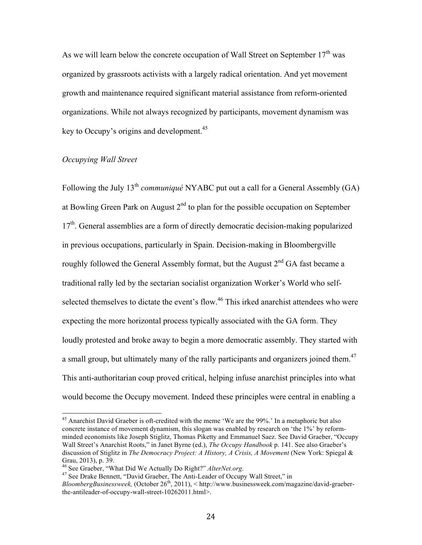As we will learn below the concrete occupation of Wall Street on September  $17<sup>th</sup>$  was organized by grassroots activists with a largely radical orientation. And yet movement growth and maintenance required significant material assistance from reform-oriented organizations. While not always recognized by participants, movement dynamism was key to Occupy's origins and development.<sup>45</sup>

### *Occupying Wall Street*

Following the July 13<sup>th</sup> *communiqué* NYABC put out a call for a General Assembly (GA) at Bowling Green Park on August  $2<sup>nd</sup>$  to plan for the possible occupation on September  $17<sup>th</sup>$ . General assemblies are a form of directly democratic decision-making popularized in previous occupations, particularly in Spain. Decision-making in Bloombergville roughly followed the General Assembly format, but the August  $2<sup>nd</sup> GA$  fast became a traditional rally led by the sectarian socialist organization Worker's World who selfselected themselves to dictate the event's flow.<sup>46</sup> This irked anarchist attendees who were expecting the more horizontal process typically associated with the GA form. They loudly protested and broke away to begin a more democratic assembly. They started with a small group, but ultimately many of the rally participants and organizers joined them.<sup>47</sup> This anti-authoritarian coup proved critical, helping infuse anarchist principles into what would become the Occupy movement. Indeed these principles were central in enabling a

<sup>&</sup>lt;sup>45</sup> Anarchist David Graeber is oft-credited with the meme 'We are the 99%.' In a metaphoric but also concrete instance of movement dynamism, this slogan was enabled by research on 'the 1%' by reformminded economists like Joseph Stiglitz, Thomas Piketty and Emmanuel Saez. See David Graeber, "Occupy Wall Street's Anarchist Roots," in Janet Byrne (ed.), *The Occupy Handbook* p. 141. See also Graeber's discussion of Stiglitz in *The Democracy Project: A History, A Crisis, A Movement* (New York: Spiegal & Grau, 2013), p. 39.<br><sup>46</sup> See Graeber, "What Did We Actually Do Right?" *AlterNet.org*.<br><sup>47</sup> See Drake Bennett, "David Graeber, The Anti-Leader of Occupy Wall Street," in

BloombergBusinessweek, (October 26<sup>th</sup>, 2011), < http://www.businessweek.com/magazine/david-graeberthe-antileader-of-occupy-wall-street-10262011.html>.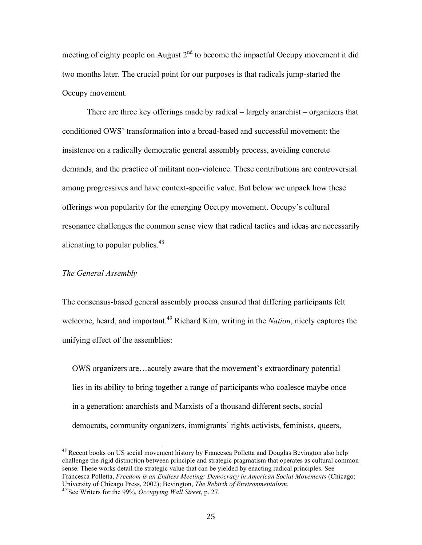meeting of eighty people on August  $2<sup>nd</sup>$  to become the impactful Occupy movement it did two months later. The crucial point for our purposes is that radicals jump-started the Occupy movement.

There are three key offerings made by radical – largely anarchist – organizers that conditioned OWS' transformation into a broad-based and successful movement: the insistence on a radically democratic general assembly process, avoiding concrete demands, and the practice of militant non-violence. These contributions are controversial among progressives and have context-specific value. But below we unpack how these offerings won popularity for the emerging Occupy movement. Occupy's cultural resonance challenges the common sense view that radical tactics and ideas are necessarily alienating to popular publics.<sup>48</sup>

#### *The General Assembly*

The consensus-based general assembly process ensured that differing participants felt welcome, heard, and important.<sup>49</sup> Richard Kim, writing in the *Nation*, nicely captures the unifying effect of the assemblies:

OWS organizers are…acutely aware that the movement's extraordinary potential lies in its ability to bring together a range of participants who coalesce maybe once in a generation: anarchists and Marxists of a thousand different sects, social democrats, community organizers, immigrants' rights activists, feminists, queers,

<sup>&</sup>lt;sup>48</sup> Recent books on US social movement history by Francesca Polletta and Douglas Bevington also help challenge the rigid distinction between principle and strategic pragmatism that operates as cultural common sense. These works detail the strategic value that can be yielded by enacting radical principles. See Francesca Polletta, *Freedom is an Endless Meeting: Democracy in American Social Movements* (Chicago: University of Chicago Press, 2002); Bevington, *The Rebirth of Environmentalism.* <sup>49</sup> See Writers for the 99%, *Occupying Wall Street*, p. 27.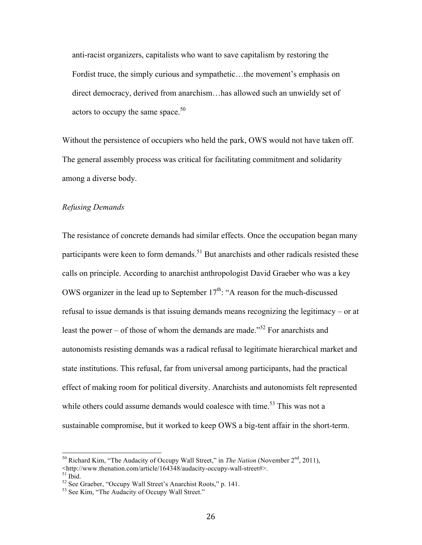anti-racist organizers, capitalists who want to save capitalism by restoring the Fordist truce, the simply curious and sympathetic…the movement's emphasis on direct democracy, derived from anarchism…has allowed such an unwieldy set of actors to occupy the same space.<sup>50</sup>

Without the persistence of occupiers who held the park, OWS would not have taken off. The general assembly process was critical for facilitating commitment and solidarity among a diverse body.

#### *Refusing Demands*

The resistance of concrete demands had similar effects. Once the occupation began many participants were keen to form demands.<sup>51</sup> But anarchists and other radicals resisted these calls on principle. According to anarchist anthropologist David Graeber who was a key OWS organizer in the lead up to September  $17<sup>th</sup>$ : "A reason for the much-discussed refusal to issue demands is that issuing demands means recognizing the legitimacy – or at least the power – of those of whom the demands are made.<sup>"52</sup> For anarchists and autonomists resisting demands was a radical refusal to legitimate hierarchical market and state institutions. This refusal, far from universal among participants, had the practical effect of making room for political diversity. Anarchists and autonomists felt represented while others could assume demands would coalesce with time.<sup>53</sup> This was not a sustainable compromise, but it worked to keep OWS a big-tent affair in the short-term.

<sup>&</sup>lt;sup>50</sup> Richard Kim, "The Audacity of Occupy Wall Street," in *The Nation* (November  $2^{nd}$ , 2011),  $\lt$ http://www.thenation.com/article/164348/audacity-occupy-wall-street#>.

<sup>&</sup>lt;sup>51</sup> Ibid.<br><sup>52</sup> See Graeber, "Occupy Wall-Street's Anarchist Roots," p. 141.<br><sup>53</sup> See Kim, "The Audacity of Occupy Wall Street."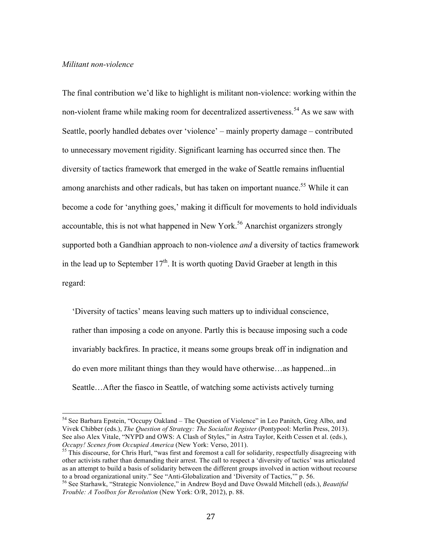#### *Militant non-violence*

The final contribution we'd like to highlight is militant non-violence: working within the non-violent frame while making room for decentralized assertiveness.<sup>54</sup> As we saw with Seattle, poorly handled debates over 'violence' – mainly property damage – contributed to unnecessary movement rigidity. Significant learning has occurred since then. The diversity of tactics framework that emerged in the wake of Seattle remains influential among anarchists and other radicals, but has taken on important nuance.<sup>55</sup> While it can become a code for 'anything goes,' making it difficult for movements to hold individuals accountable, this is not what happened in New York.<sup>56</sup> Anarchist organizers strongly supported both a Gandhian approach to non-violence *and* a diversity of tactics framework in the lead up to September  $17<sup>th</sup>$ . It is worth quoting David Graeber at length in this regard:

'Diversity of tactics' means leaving such matters up to individual conscience, rather than imposing a code on anyone. Partly this is because imposing such a code invariably backfires. In practice, it means some groups break off in indignation and do even more militant things than they would have otherwise…as happened...in Seattle…After the fiasco in Seattle, of watching some activists actively turning

<sup>&</sup>lt;sup>54</sup> See Barbara Epstein, "Occupy Oakland – The Question of Violence" in Leo Panitch, Greg Albo, and Vivek Chibber (eds.), *The Question of Strategy: The Socialist Register* (Pontypool: Merlin Press, 2013). See also Alex Vitale, "NYPD and OWS: A Clash of Styles," in Astra Taylor, Keith Cessen et al. (eds.), *Occupy! Scenes from Occupied America* (New York: Verso, 2011).<br><sup>55</sup> This discourse, for Chris Hurl, "was first and foremost a call for solidarity, respectfully disagreeing with

other activists rather than demanding their arrest. The call to respect a 'diversity of tactics' was articulated as an attempt to build a basis of solidarity between the different groups involved in action without recourse<br>to a broad organizational unity." See "Anti-Globalization and 'Diversity of Tactics," p. 56.

<sup>&</sup>lt;sup>56</sup> See Starhawk, "Strategic Nonviolence," in Andrew Boyd and Dave Oswald Mitchell (eds.), *Beautiful Trouble: A Toolbox for Revolution* (New York: O/R, 2012), p. 88.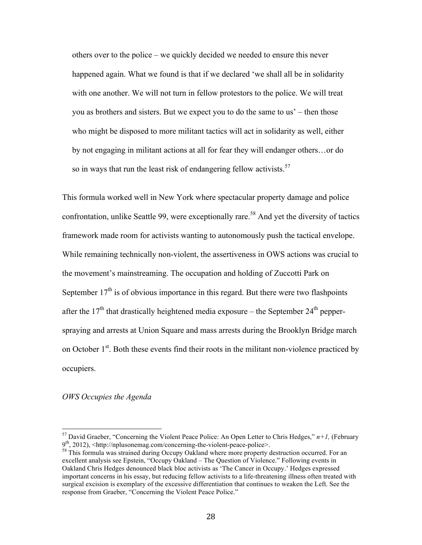others over to the police – we quickly decided we needed to ensure this never happened again. What we found is that if we declared 'we shall all be in solidarity with one another. We will not turn in fellow protestors to the police. We will treat you as brothers and sisters. But we expect you to do the same to us' – then those who might be disposed to more militant tactics will act in solidarity as well, either by not engaging in militant actions at all for fear they will endanger others…or do so in ways that run the least risk of endangering fellow activists.<sup>57</sup>

This formula worked well in New York where spectacular property damage and police confrontation, unlike Seattle 99, were exceptionally rare.<sup>58</sup> And yet the diversity of tactics framework made room for activists wanting to autonomously push the tactical envelope. While remaining technically non-violent, the assertiveness in OWS actions was crucial to the movement's mainstreaming. The occupation and holding of Zuccotti Park on September  $17<sup>th</sup>$  is of obvious importance in this regard. But there were two flashpoints after the  $17<sup>th</sup>$  that drastically heightened media exposure – the September  $24<sup>th</sup>$  pepperspraying and arrests at Union Square and mass arrests during the Brooklyn Bridge march on October 1<sup>st</sup>. Both these events find their roots in the militant non-violence practiced by occupiers.

#### *OWS Occupies the Agenda*

<sup>&</sup>lt;sup>57</sup> David Graeber, "Concerning the Violent Peace Police: An Open Letter to Chris Hedges,"  $n+1$ , (February  $9<sup>th</sup>$ , 2012), <http://nplusonemag.com/concerning-the-violent-peace-police>.

<sup>&</sup>lt;sup>58</sup> This formula was strained during Occupy Oakland where more property destruction occurred. For an excellent analysis see Epstein, "Occupy Oakland – The Question of Violence." Following events in Oakland Chris Hedges denounced black bloc activists as 'The Cancer in Occupy.' Hedges expressed important concerns in his essay, but reducing fellow activists to a life-threatening illness often treated with surgical excision is exemplary of the excessive differentiation that continues to weaken the Left. See the response from Graeber, "Concerning the Violent Peace Police."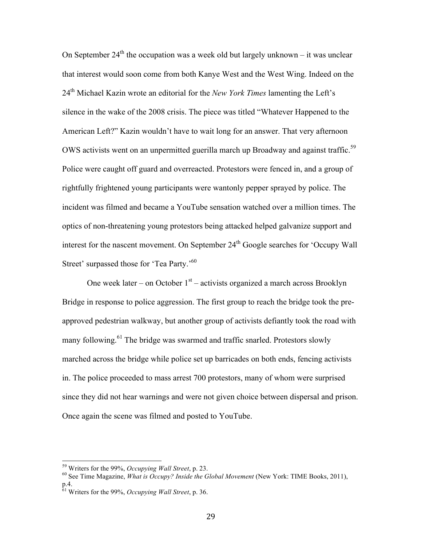On September  $24<sup>th</sup>$  the occupation was a week old but largely unknown – it was unclear that interest would soon come from both Kanye West and the West Wing. Indeed on the 24th Michael Kazin wrote an editorial for the *New York Times* lamenting the Left's silence in the wake of the 2008 crisis. The piece was titled "Whatever Happened to the American Left?" Kazin wouldn't have to wait long for an answer. That very afternoon OWS activists went on an unpermitted guerilla march up Broadway and against traffic.<sup>59</sup> Police were caught off guard and overreacted. Protestors were fenced in, and a group of rightfully frightened young participants were wantonly pepper sprayed by police. The incident was filmed and became a YouTube sensation watched over a million times. The optics of non-threatening young protestors being attacked helped galvanize support and interest for the nascent movement. On September  $24<sup>th</sup>$  Google searches for 'Occupy Wall Street' surpassed those for 'Tea Party.'60

One week later – on October  $1<sup>st</sup>$  – activists organized a march across Brooklyn Bridge in response to police aggression. The first group to reach the bridge took the preapproved pedestrian walkway, but another group of activists defiantly took the road with many following.<sup>61</sup> The bridge was swarmed and traffic snarled. Protestors slowly marched across the bridge while police set up barricades on both ends, fencing activists in. The police proceeded to mass arrest 700 protestors, many of whom were surprised since they did not hear warnings and were not given choice between dispersal and prison. Once again the scene was filmed and posted to YouTube.

 <sup>59</sup> Writers for the 99%, *Occupying Wall Street*, p. 23. <sup>60</sup> See Time Magazine, *What is Occupy? Inside the Global Movement* (New York: TIME Books, 2011), p.4.

<sup>61</sup> Writers for the 99%, *Occupying Wall Street*, p. 36.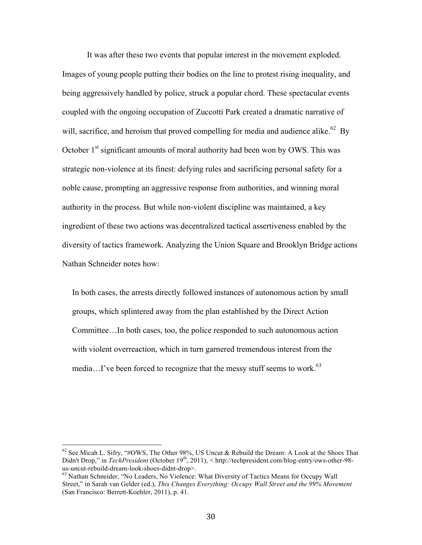It was after these two events that popular interest in the movement exploded. Images of young people putting their bodies on the line to protest rising inequality, and being aggressively handled by police, struck a popular chord. These spectacular events coupled with the ongoing occupation of Zuccotti Park created a dramatic narrative of will, sacrifice, and heroism that proved compelling for media and audience alike.<sup>62</sup> By October  $1<sup>st</sup>$  significant amounts of moral authority had been won by OWS. This was strategic non-violence at its finest: defying rules and sacrificing personal safety for a noble cause, prompting an aggressive response from authorities, and winning moral authority in the process. But while non-violent discipline was maintained, a key ingredient of these two actions was decentralized tactical assertiveness enabled by the diversity of tactics framework. Analyzing the Union Square and Brooklyn Bridge actions Nathan Schneider notes how:

In both cases, the arrests directly followed instances of autonomous action by small groups, which splintered away from the plan established by the Direct Action Committee…In both cases, too, the police responded to such autonomous action with violent overreaction, which in turn garnered tremendous interest from the media... I've been forced to recognize that the messy stuff seems to work.<sup>63</sup>

 <sup>62</sup> See Micah L. Sifry, "#OWS, The Other 98%, US Uncut & Rebuild the Dream: A Look at the Shoes That Didn't Drop," in *TechPresident* (October 19<sup>th</sup>, 2011), < http://techpresident.com/blog-entry/ows-other-98-us-uncut-rebuild-dream-look-shoes-didnt-drop>.

<sup>63</sup> Nathan Schneider, "No Leaders, No Violence: What Diversity of Tactics Means for Occupy Wall Street," in Sarah van Gelder (ed.), *This Changes Everything: Occupy Wall Street and the 99% Movement* (San Francisco: Berrett-Koehler, 2011), p. 41.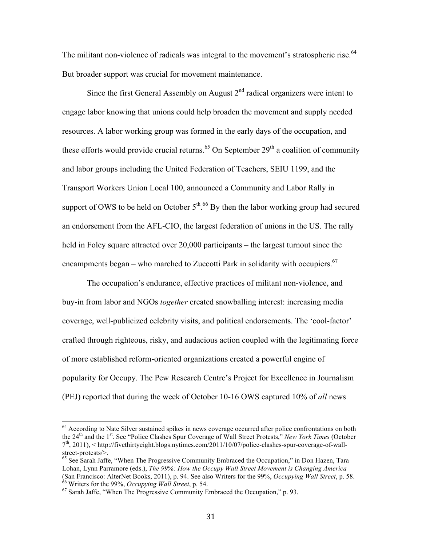The militant non-violence of radicals was integral to the movement's stratospheric rise.<sup>64</sup> But broader support was crucial for movement maintenance.

Since the first General Assembly on August  $2<sup>nd</sup>$  radical organizers were intent to engage labor knowing that unions could help broaden the movement and supply needed resources. A labor working group was formed in the early days of the occupation, and these efforts would provide crucial returns.<sup>65</sup> On September  $29<sup>th</sup>$  a coalition of community and labor groups including the United Federation of Teachers, SEIU 1199, and the Transport Workers Union Local 100, announced a Community and Labor Rally in support of OWS to be held on October  $5^{th}$ .<sup>66</sup> By then the labor working group had secured an endorsement from the AFL-CIO, the largest federation of unions in the US. The rally held in Foley square attracted over 20,000 participants – the largest turnout since the encampments began – who marched to Zuccotti Park in solidarity with occupiers.<sup>67</sup>

The occupation's endurance, effective practices of militant non-violence, and buy-in from labor and NGOs *together* created snowballing interest: increasing media coverage, well-publicized celebrity visits, and political endorsements. The 'cool-factor' crafted through righteous, risky, and audacious action coupled with the legitimating force of more established reform-oriented organizations created a powerful engine of popularity for Occupy. The Pew Research Centre's Project for Excellence in Journalism (PEJ) reported that during the week of October 10-16 OWS captured 10% of *all* news

<sup>&</sup>lt;sup>64</sup> According to Nate Silver sustained spikes in news coverage occurred after police confrontations on both the 24th and the 1st. See "Police Clashes Spur Coverage of Wall Street Protests," *New York Times* (October  $7<sup>th</sup>$ , 2011), < http://fivethirtyeight.blogs.nytimes.com/2011/10/07/police-clashes-spur-coverage-of-wallstreet-protests/>. <br><sup>65</sup> See Sarah Jaffe, "When The Progressive Community Embraced the Occupation," in Don Hazen, Tara

Lohan, Lynn Parramore (eds.), *The 99%: How the Occupy Wall Street Movement is Changing America*

<sup>&</sup>lt;sup>66</sup> Writers for the 99%, *Occupying Wall Street*, p. 54.<br><sup>67</sup> Sarah Jaffe, "When The Progressive Community Embraced the Occupation," p. 93.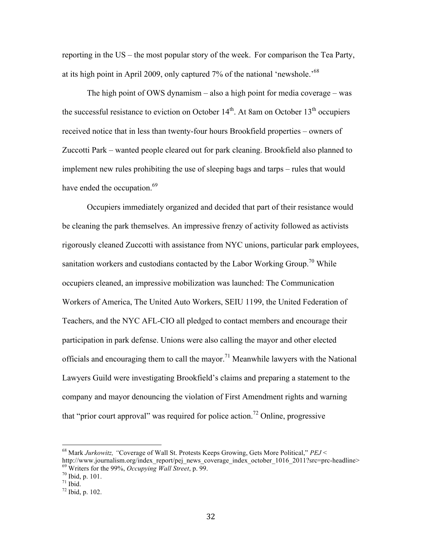reporting in the US – the most popular story of the week. For comparison the Tea Party, at its high point in April 2009, only captured 7% of the national 'newshole.'<sup>68</sup>

The high point of OWS dynamism – also a high point for media coverage – was the successful resistance to eviction on October  $14<sup>th</sup>$ . At 8am on October  $13<sup>th</sup>$  occupiers received notice that in less than twenty-four hours Brookfield properties – owners of Zuccotti Park – wanted people cleared out for park cleaning. Brookfield also planned to implement new rules prohibiting the use of sleeping bags and tarps – rules that would have ended the occupation.<sup>69</sup>

Occupiers immediately organized and decided that part of their resistance would be cleaning the park themselves. An impressive frenzy of activity followed as activists rigorously cleaned Zuccotti with assistance from NYC unions, particular park employees, sanitation workers and custodians contacted by the Labor Working Group.<sup>70</sup> While occupiers cleaned, an impressive mobilization was launched: The Communication Workers of America, The United Auto Workers, SEIU 1199, the United Federation of Teachers, and the NYC AFL-CIO all pledged to contact members and encourage their participation in park defense. Unions were also calling the mayor and other elected officials and encouraging them to call the mayor.<sup>71</sup> Meanwhile lawyers with the National Lawyers Guild were investigating Brookfield's claims and preparing a statement to the company and mayor denouncing the violation of First Amendment rights and warning that "prior court approval" was required for police action.<sup>72</sup> Online, progressive

 <sup>68</sup> Mark *Jurkowitz, "*Coverage of Wall St. Protests Keeps Growing, Gets More Political," *PEJ* <sup>&</sup>lt; http://www.journalism.org/index\_report/pej\_news\_coverage\_index\_october\_1016\_2011?src=prc-headline><br><sup>69</sup> Writers for the 99%, *Occupying Wall Street*, p. 99.<br><sup>70</sup> Ibid, p. 101.<br><sup>71</sup> Ibid. 72 Ibid. p. 102.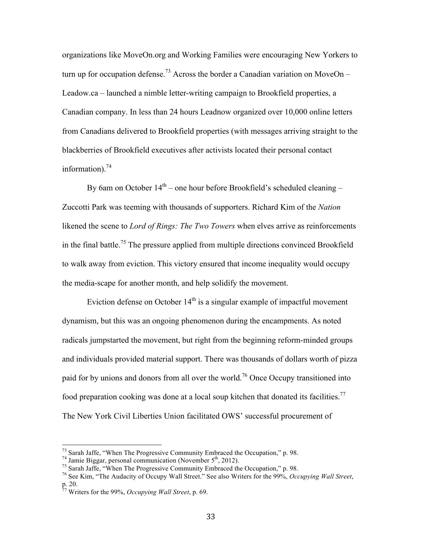organizations like MoveOn.org and Working Families were encouraging New Yorkers to turn up for occupation defense.<sup>73</sup> Across the border a Canadian variation on MoveOn – Leadow.ca – launched a nimble letter-writing campaign to Brookfield properties, a Canadian company. In less than 24 hours Leadnow organized over 10,000 online letters from Canadians delivered to Brookfield properties (with messages arriving straight to the blackberries of Brookfield executives after activists located their personal contact information). 74

By 6am on October  $14<sup>th</sup>$  – one hour before Brookfield's scheduled cleaning – Zuccotti Park was teeming with thousands of supporters. Richard Kim of the *Nation*  likened the scene to *Lord of Rings: The Two Towers* when elves arrive as reinforcements in the final battle.<sup>75</sup> The pressure applied from multiple directions convinced Brookfield to walk away from eviction. This victory ensured that income inequality would occupy the media-scape for another month, and help solidify the movement.

Eviction defense on October  $14<sup>th</sup>$  is a singular example of impactful movement dynamism, but this was an ongoing phenomenon during the encampments. As noted radicals jumpstarted the movement, but right from the beginning reform-minded groups and individuals provided material support. There was thousands of dollars worth of pizza paid for by unions and donors from all over the world.<sup>76</sup> Once Occupy transitioned into food preparation cooking was done at a local soup kitchen that donated its facilities.<sup>77</sup> The New York Civil Liberties Union facilitated OWS' successful procurement of

<sup>&</sup>lt;sup>73</sup> Sarah Jaffe, "When The Progressive Community Embraced the Occupation," p. 98.<br><sup>74</sup> Jamie Biggar, personal communication (November 5<sup>th</sup>, 2012).<br><sup>75</sup> Sarah Jaffe, "When The Progressive Community Embraced the Occupatio p. 20.

<sup>77</sup> Writers for the 99%, *Occupying Wall Street*, p. 69.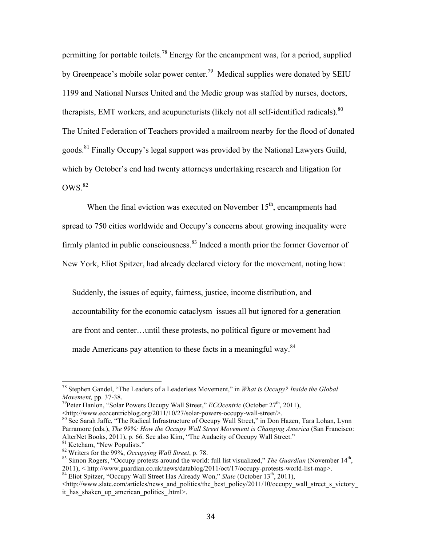permitting for portable toilets.<sup>78</sup> Energy for the encampment was, for a period, supplied by Greenpeace's mobile solar power center.<sup>79</sup> Medical supplies were donated by SEIU 1199 and National Nurses United and the Medic group was staffed by nurses, doctors, therapists, EMT workers, and acupuncturists (likely not all self-identified radicals).<sup>80</sup> The United Federation of Teachers provided a mailroom nearby for the flood of donated goods.<sup>81</sup> Finally Occupy's legal support was provided by the National Lawyers Guild, which by October's end had twenty attorneys undertaking research and litigation for  $OWS.<sup>82</sup>$ 

When the final eviction was executed on November  $15<sup>th</sup>$ , encampments had spread to 750 cities worldwide and Occupy's concerns about growing inequality were firmly planted in public consciousness.<sup>83</sup> Indeed a month prior the former Governor of New York, Eliot Spitzer, had already declared victory for the movement, noting how:

Suddenly, the issues of equity, fairness, justice, income distribution, and accountability for the economic cataclysm–issues all but ignored for a generation are front and center…until these protests, no political figure or movement had made Americans pay attention to these facts in a meaningful way.<sup>84</sup>

 <sup>78</sup> Stephen Gandel, "The Leaders of a Leaderless Movement," in *What is Occupy? Inside the Global* 

<sup>&</sup>lt;sup>79</sup>Peter Hanlon, "Solar Powers Occupy Wall Street," *ECOcentric* (October 27<sup>th</sup>, 2011), <http://www.ecocentricblog.org/2011/10/27/solar-powers-occupy-wall-street/>.

<sup>&</sup>lt;sup>80</sup> See Sarah Jaffe, "The Radical Infrastructure of Occupy Wall Street," in Don Hazen, Tara Lohan, Lynn Parramore (eds.), *The 99%: How the Occupy Wall Street Movement is Changing America* (San Francisco:

AlterNet Books, 2011), p. 66. See also Kim, "The Audacity of Occupy Wall Street."<br><sup>81</sup> Ketcham, "New Populists."<br><sup>82</sup> Writers for the 99%, *Occupying Wall Street*, p. 78.<br><sup>83</sup> Simon Rogers, "Occupy protests around the wor

<sup>&</sup>lt;sup>84</sup> Eliot Spitzer, "Occupy Wall Street Has Already Won," *Slate* (October 13<sup>th</sup>, 2011),

<sup>&</sup>lt;http://www.slate.com/articles/news\_and\_politics/the\_best\_policy/2011/10/occupy\_wall\_street\_s\_victory\_ it has shaken up american politics .html>.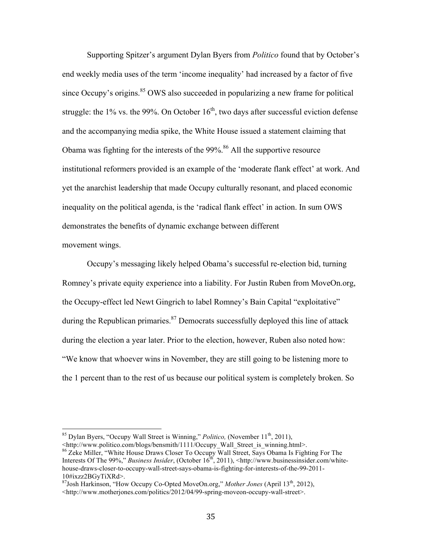Supporting Spitzer's argument Dylan Byers from *Politico* found that by October's end weekly media uses of the term 'income inequality' had increased by a factor of five since Occupy's origins.<sup>85</sup> OWS also succeeded in popularizing a new frame for political struggle: the 1% vs. the 99%. On October  $16<sup>th</sup>$ , two days after successful eviction defense and the accompanying media spike, the White House issued a statement claiming that Obama was fighting for the interests of the  $99\%$ .<sup>86</sup> All the supportive resource institutional reformers provided is an example of the 'moderate flank effect' at work. And yet the anarchist leadership that made Occupy culturally resonant, and placed economic inequality on the political agenda, is the 'radical flank effect' in action. In sum OWS demonstrates the benefits of dynamic exchange between different movement wings.

Occupy's messaging likely helped Obama's successful re-election bid, turning Romney's private equity experience into a liability. For Justin Ruben from MoveOn.org, the Occupy-effect led Newt Gingrich to label Romney's Bain Capital "exploitative" during the Republican primaries.<sup>87</sup> Democrats successfully deployed this line of attack during the election a year later. Prior to the election, however, Ruben also noted how: "We know that whoever wins in November, they are still going to be listening more to the 1 percent than to the rest of us because our political system is completely broken. So

 $85$  Dylan Byers, "Occupy Wall Street is Winning," *Politico*, (November  $11<sup>th</sup>$ , 2011),

<sup>&</sup>lt;http://www.politico.com/blogs/bensmith/1111/Occupy\_Wall\_Street\_is\_winning.html>.

<sup>&</sup>lt;sup>86</sup> Zeke Miller, "White House Draws Closer To Occupy Wall Street, Says Obama Is Fighting For The Interests Of The 99%," *Business Insider*, (October 16<sup>th</sup>, 2011), <http://www.businessinsider.com/whitehouse-draws-closer-to-occupy-wall-street-says-obama-is-fighting-for-interests-of-the-99-2011- 10#ixzz2BGyTiXRd>.

<sup>&</sup>lt;sup>87</sup>Josh Harkinson, "How Occupy Co-Opted MoveOn.org," Mother Jones (April 13<sup>th</sup>, 2012),

<sup>&</sup>lt;http://www.motherjones.com/politics/2012/04/99-spring-moveon-occupy-wall-street>.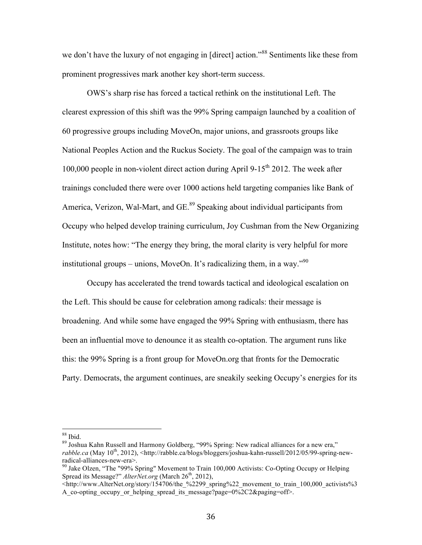we don't have the luxury of not engaging in [direct] action."<sup>88</sup> Sentiments like these from prominent progressives mark another key short-term success.

OWS's sharp rise has forced a tactical rethink on the institutional Left. The clearest expression of this shift was the 99% Spring campaign launched by a coalition of 60 progressive groups including MoveOn, major unions, and grassroots groups like National Peoples Action and the Ruckus Society. The goal of the campaign was to train 100,000 people in non-violent direct action during April 9-15<sup>th</sup> 2012. The week after trainings concluded there were over 1000 actions held targeting companies like Bank of America, Verizon, Wal-Mart, and GE.<sup>89</sup> Speaking about individual participants from Occupy who helped develop training curriculum, Joy Cushman from the New Organizing Institute, notes how: "The energy they bring, the moral clarity is very helpful for more institutional groups – unions, MoveOn. It's radicalizing them, in a way.<sup>"90</sup>

Occupy has accelerated the trend towards tactical and ideological escalation on the Left. This should be cause for celebration among radicals: their message is broadening. And while some have engaged the 99% Spring with enthusiasm, there has been an influential move to denounce it as stealth co-optation. The argument runs like this: the 99% Spring is a front group for MoveOn.org that fronts for the Democratic Party. Democrats, the argument continues, are sneakily seeking Occupy's energies for its

<sup>&</sup>lt;sup>88</sup> Ibid.<br><sup>89</sup> Joshua Kahn Russell and Harmony Goldberg, "99% Spring: New radical alliances for a new era," *rabble.ca* (May 10<sup>th</sup>, 2012), <http://rabble.ca/blogs/bloggers/joshua-kahn-russell/2012/05/99-spring-new-radical-alliances-new-era>.

 $\frac{90}{90}$  Jake Olzen, "The "99% Spring" Movement to Train 100,000 Activists: Co-Opting Occupy or Helping Spread its Message?" *AlterNet.org* (March 26<sup>th</sup>, 2012),

<sup>&</sup>lt;http://www.AlterNet.org/story/154706/the\_%2299\_spring%22\_movement\_to\_train\_100,000\_activists%3 A co-opting occupy or helping spread its message?page=0%2C2&paging=off>.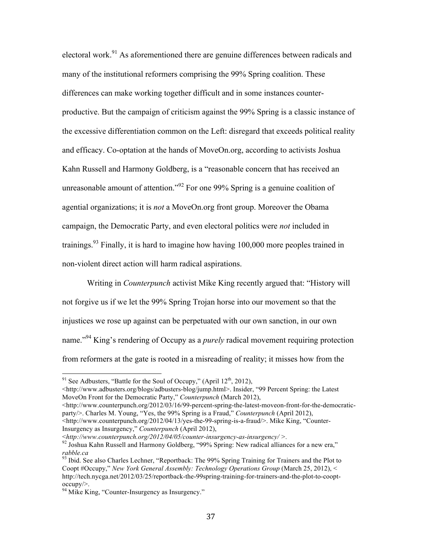electoral work.<sup>91</sup> As aforementioned there are genuine differences between radicals and many of the institutional reformers comprising the 99% Spring coalition. These differences can make working together difficult and in some instances counterproductive. But the campaign of criticism against the 99% Spring is a classic instance of the excessive differentiation common on the Left: disregard that exceeds political reality and efficacy. Co-optation at the hands of MoveOn.org, according to activists Joshua Kahn Russell and Harmony Goldberg, is a "reasonable concern that has received an unreasonable amount of attention."<sup>92</sup> For one 99% Spring is a genuine coalition of agential organizations; it is *not* a MoveOn.org front group. Moreover the Obama campaign, the Democratic Party, and even electoral politics were *not* included in trainings.<sup>93</sup> Finally, it is hard to imagine how having  $100,000$  more peoples trained in non-violent direct action will harm radical aspirations.

Writing in *Counterpunch* activist Mike King recently argued that: "History will not forgive us if we let the 99% Spring Trojan horse into our movement so that the injustices we rose up against can be perpetuated with our own sanction, in our own name."<sup>94</sup> King's rendering of Occupy as a *purely* radical movement requiring protection from reformers at the gate is rooted in a misreading of reality; it misses how from the

<sup>&</sup>lt;sup>91</sup> See Adbusters, "Battle for the Soul of Occupy," (April 12<sup>th</sup>, 2012),

<sup>&</sup>lt;http://www.adbusters.org/blogs/adbusters-blog/jump.html>. Insider, "99 Percent Spring: the Latest MoveOn Front for the Democratic Party," *Counterpunch* (March 2012),

 $\lt$ http://www.counterpunch.org/2012/03/16/99-percent-spring-the-latest-moveon-front-for-the-democraticparty/>. Charles M. Young, "Yes, the 99% Spring is a Fraud," *Counterpunch* (April 2012),

 $\leq$ http://www.counterpunch.org/2012/04/13/yes-the-99-spring-is-a-fraud/>. Mike King, "Counter-Insurgency as Insurgency," *Counterpunch* (April 2012),

<sup>&</sup>lt;*http://www.counterpunch.org/2012/04/05/counter-insurgency-as-insurgency/ >.* <sup>92</sup> Joshua Kahn Russell and Harmony Goldberg, "99% Spring: New radical alliances for a new era," *rabble.ca*

<sup>&</sup>lt;sup>93</sup> Ibid. See also Charles Lechner, "Reportback: The 99% Spring Training for Trainers and the Plot to Coopt #Occupy," *New York General Assembly: Technology Operations Group* (March 25, 2012), < http://tech.nycga.net/2012/03/25/reportback-the-99spring-training-for-trainers-and-the-plot-to-cooptoccupy/>.

<sup>&</sup>lt;sup>94</sup> Mike King, "Counter-Insurgency as Insurgency."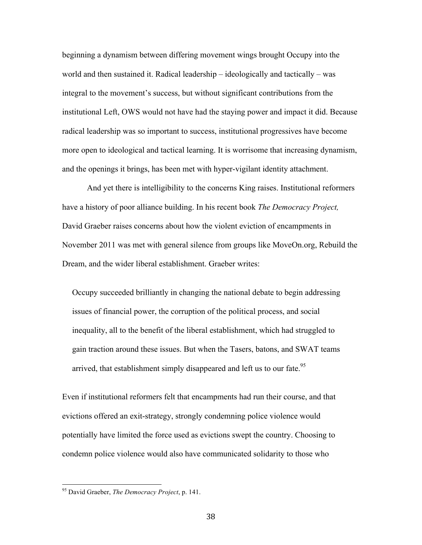beginning a dynamism between differing movement wings brought Occupy into the world and then sustained it. Radical leadership – ideologically and tactically – was integral to the movement's success, but without significant contributions from the institutional Left, OWS would not have had the staying power and impact it did. Because radical leadership was so important to success, institutional progressives have become more open to ideological and tactical learning. It is worrisome that increasing dynamism, and the openings it brings, has been met with hyper-vigilant identity attachment.

And yet there is intelligibility to the concerns King raises. Institutional reformers have a history of poor alliance building. In his recent book *The Democracy Project,* David Graeber raises concerns about how the violent eviction of encampments in November 2011 was met with general silence from groups like MoveOn.org, Rebuild the Dream, and the wider liberal establishment. Graeber writes:

Occupy succeeded brilliantly in changing the national debate to begin addressing issues of financial power, the corruption of the political process, and social inequality, all to the benefit of the liberal establishment, which had struggled to gain traction around these issues. But when the Tasers, batons, and SWAT teams arrived, that establishment simply disappeared and left us to our fate.<sup>95</sup>

Even if institutional reformers felt that encampments had run their course, and that evictions offered an exit-strategy, strongly condemning police violence would potentially have limited the force used as evictions swept the country. Choosing to condemn police violence would also have communicated solidarity to those who

 <sup>95</sup> David Graeber, *The Democracy Project*, p. 141.